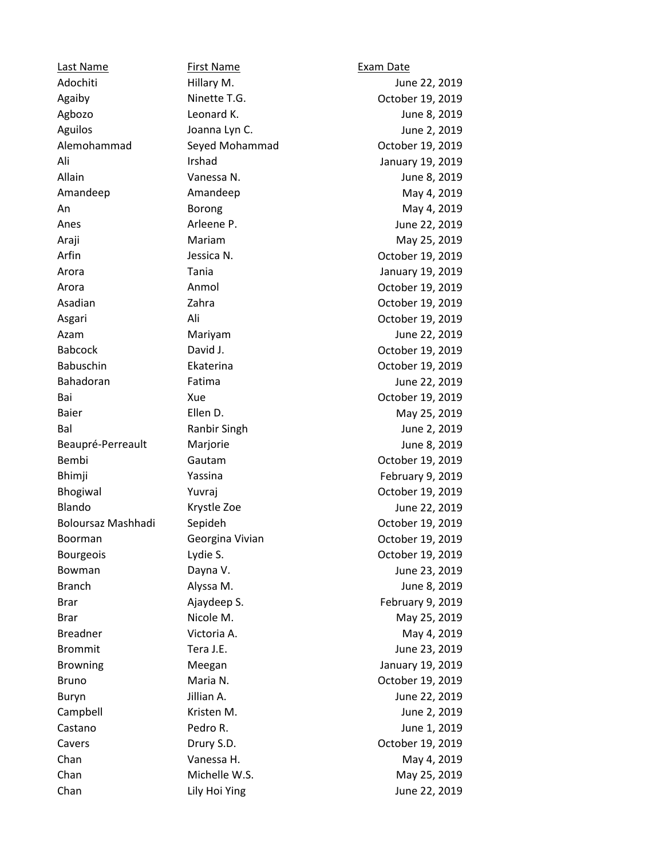Last Name First Name First Name Exam Date Adochiti Hillary M. Shang Hillary M. Adochiti June 22, 2019 Agaiby **Ninette T.G. COLOGE 19, 2019** Agbozo Leonard K. New York 1019 June 8, 2019 Aguilos Joanna Lyn C. June 2, 2019 Alemohammad Seyed Mohammad October 19, 2019 Ali Irshad Irshad January 19, 2019 Allain Vanessa N. June 8, 2019 Amandeep Amandeep May 4, 2019 An Borong Borong May 4, 2019 Anes **Arleene P.** Arleene P. And Arleene P. And Arleene P. And Arleene P. And Arle Araji **Mariam Mariam May 25, 2019** Arfin Jessica N. Corollace Decober 19, 2019 Arora Tania January 19, 2019 Arora Anmol October 19, 2019 Asadian **Zahra** Zahra **Zahra** October 19, 2019 Asgari Ali Ali Corober 19, 2019 Azam Mariyam Mariyam June 22, 2019 Babcock David J. David J. Corober 19, 2019 Babuschin **Ekaterina** Ekaterina **Demokratische Ekaterina** October 19, 2019 Bahadoran **Fatima** Fatima **June 22, 2019** Bai Xue October 19, 2019 Baier **Ellen D.** Ellen D. May 25, 2019 Bal Bal Ranbir Singh Contract Contract Contract Contract Contract Contract Contract Contract Contract Contract Contract Contract Contract Contract Contract Contract Contract Contract Contract Contract Contract Contract Con Beaupré-Perreault Marjorie Marie 1996 (1996) Marie 1997 (1997) Marie 1997 (1998) Marie 1997 (1998) Marie 1997 ( Bembi Gautam October 19, 2019 Bhimji **Yassina** Yassina February 9, 2019 Bhogiwal Muvraj Museum Vuvraj Regislation (Capital Museum Cotober 19, 2019 Blando Krystle Zoe June 22, 2019 Boloursaz Mashhadi Sepideh October 19, 2019 Boorman Georgina Vivian Corporation Corporation Corporation Corporation Corporation Corporation Corporation Co Bourgeois **Lydie S.** Contract Lydie S. Communication of the U.S. Corporation of the U.S. Contract of the U.S. 2019 Bowman Dayna V. Dayna V. Dayna V. Dayna V. Dayna V. Dayna V. Dayna V. Dayna V. Dayna V. Dayna V. Dayna V. Dayna V. D Branch Alyssa M. June 8, 2019 Brar Ajaydeep S. February 9, 2019 Brar Nicole M. North Charles May 25, 2019 Breadner Victoria A. New York 1980 May 4, 2019 Brommit Tera J.E. Tera and Tera J.E. The State of Terms and Terms and Terms and Terms and Terms and Terms and Terms and June 23, 2019 Browning Meegan Meegan January 19, 2019 Bruno Maria N. Corollaria N. Corollaria N. Corollaria N. Corollaria N. Corollaria N. Corollaria N. Corollaria N Buryn Jillian A. Jillian A. June 22, 2019 Campbell Kristen M. June 2, 2019 Castano **Pedro R.** Pedro R. San June 1, 2019 Cavers **Drury S.D.** Drury S.D. Cavers **Drugger 2019** Chan Vanessa H. May 4, 2019 Chan Michelle W.S. May 25, 2019 Chan Lily Hoi Ying Chan June 22, 2019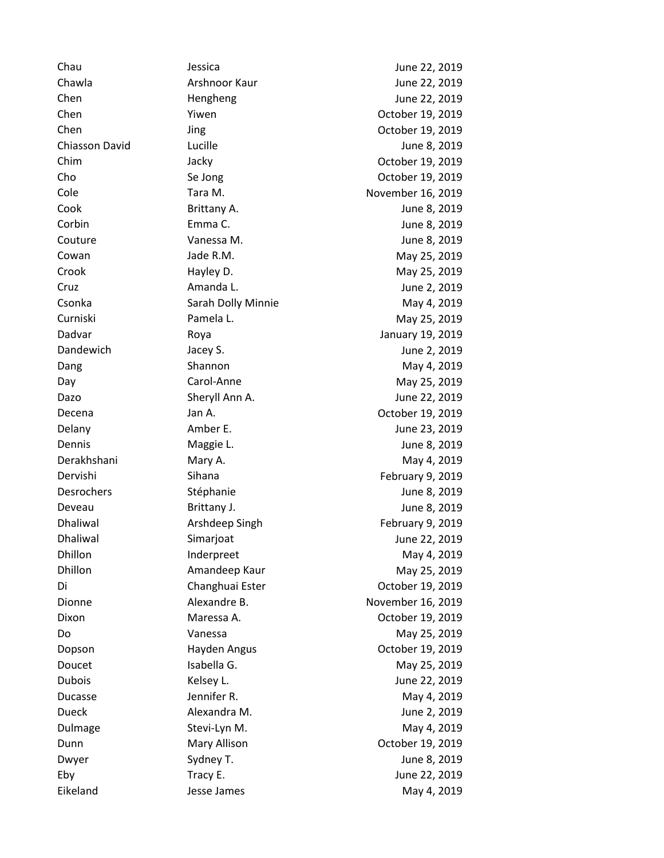Chau Jessica June 22, 2019 Chawla **Arshnoor Kaur Arshnoor Kaur** June 22, 2019 Chen Hengheng Hengheng June 22, 2019 Chen Yiwen October 19, 2019 Chen Jing Jing Chen Chen Detober 19, 2019 Chiasson David Lucille Chiasson David Lucille Chiasson David Lucille June 8, 2019 Chim Jacky October 19, 2019 Cho Se Jong Choose Choose 2019 Cole Tara M. November 16, 2019 Cook Brittany A. June 8, 2019 Corbin **Emma C.** Emma C. Service Corbin Lune 8, 2019 Couture Vanessa M. June 8, 2019 Cowan Jade R.M. May 25, 2019 Crook Hayley D. Hayley D. May 25, 2019 Cruz Amanda L. June 2, 2019 Csonka Sarah Dolly Minnie May 4, 2019 Curniski Pamela L. Pamela L. May 25, 2019 Dadvar Roya Roya January 19, 2019 Dandewich Jacey S. Shandewich Jacey S. The State of the United States of the United States June 2, 2019 Dang Shannon May 4, 2019 Day Carol-Anne May 25, 2019 Dazo Sheryll Ann A. June 22, 2019 Decena Jan A. October 19, 2019 Delany **Amber E.** Amber E. Amber E. Amber E. Amber E. Amber E. Amber 23, 2019 Dennis **Maggie L.** Maggie L. June 8, 2019 Derakhshani Mary A. May 4, 2019 Dervishi Sihana Sihana February 9, 2019 Desrochers Stéphanie June 8, 2019 Deveau Brittany J. Brittany J. Several Assemblance Brittany J. Annual Mune 8, 2019 Dhaliwal **Arshdeep Singh Community** Pebruary 9, 2019 Dhaliwal Simarjoat Simargoat June 22, 2019 Dhillon Inderpreet May 4, 2019 Dhillon **Amandeep Kaur** May 25, 2019 Di Changhuai Ester Changhuai Ester Coctober 19, 2019 Dionne Alexandre B. November 16, 2019 Dixon Maressa A. October 19, 2019 Do Vanessa May 25, 2019 Dopson Hayden Angus Corober 19, 2019 Doucet Isabella G. November 25, 2019 Dubois Kelsey L. Communication Control Control Control Control Control Control Control Control Control Control Control Control Control Control Control Control Control Control Control Control Control Control Control Control Ducasse **Immunitier R**. The May 4, 2019 Dueck Alexandra M. June 2, 2019 Dulmage Stevi-Lyn M. Stevi-Lyn M. May 4, 2019 Dunn Mary Allison Corober 19, 2019 Dwyer Sydney T. Sydney T. Symmus Sydney T. Eby Tracy E. The State of the State of the State of the State of the State of the State of the State of the State of the State of the State of the State of the State of the State of the State of the State of the State of t Eikeland Jesse James Jesse Van Anti-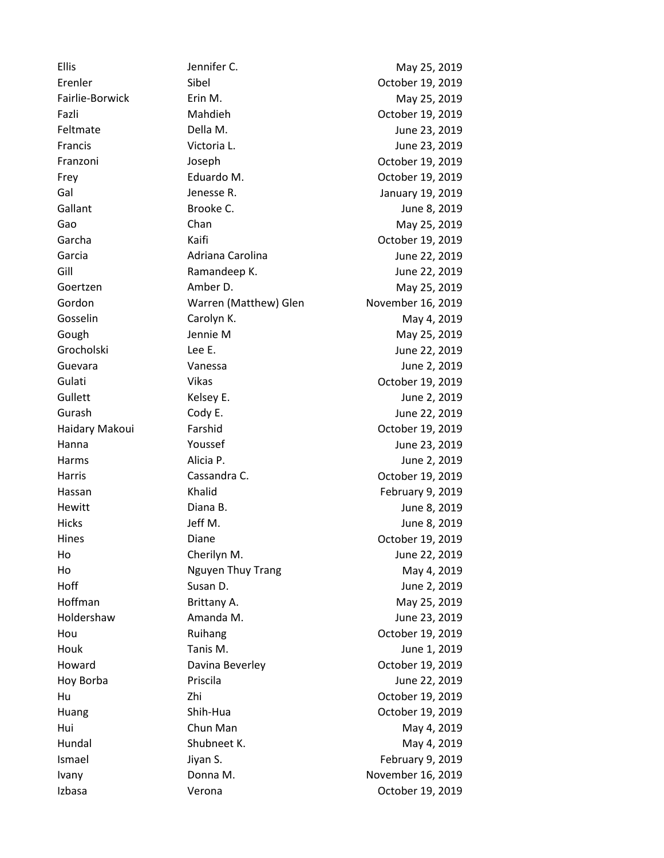Ellis **Ellis** Jennifer C. May 25, 2019 Erenler Sibel Sibel Cotober 19, 2019 Fairlie-Borwick Erin M. Communication Eric Erin M. Fazli Mahdieh October 19, 2019 Feltmate Della M. June 23, 2019 Francis Victoria L. June 23, 2019 Franzoni Joseph Joseph October 19, 2019 Frey Eduardo M. October 19, 2019 Gal Jenesse R. January 19, 2019 Gallant Brooke C. Brooke C. Service States and Brooke C. Gao Chan Chan Chan May 25, 2019 Garcha Kaifi October 19, 2019 Garcia **Adriana Carolina Carolina** June 22, 2019 Gill Ramandeep K. June 22, 2019 Goertzen Amber D. May 25, 2019 Gordon Warren (Matthew) Glen November 16, 2019 Gosselin Carolyn K. May 4, 2019 Gough Jennie M May 25, 2019 Grocholski Lee E. New York Lee E. Sunne 22, 2019 Guevara Vanessa June 2, 2019 Gulati Vikas Vikas October 19, 2019 Gullett **Kelsey E.** Kelsey E. **June 2, 2019** Gurash Cody E. June 22, 2019 Haidary Makoui Farshid **Farshid** Colombia 2019 Hanna Youssef June 23, 2019 Harms Alicia P. June 2, 2019 Harris Cassandra C. Contract Controller 19, 2019 Hassan Khalid **February 9, 2019** Hewitt **Diana B.** Diana B. Manus 1988, 2019 Hicks Jeff M. June 8, 2019 Hines **Diane** Diane **Diane Diane Diane October 19, 2019** Ho Cherilyn M. June 22, 2019 Ho Nguyen Thuy Trang May 4, 2019 Hoff **Susan D.** Susan D. Susan D. Susan D. Susan D. Susan D. Susan D. Susan D. Susan D. Susan D. Susan D. Susan D Hoffman Brittany A. Brittany A. May 25, 2019 Holdershaw Amanda M. June 23, 2019 Hou **Ruihang Communist Ruihang** Cotober 19, 2019 Houk Tanis M. The Second State State Control of the United States of the United States States States States States States States States States States States States States States States States States States States States St Howard Davina Beverley Doctober 19, 2019 Hoy Borba Priscila June 22, 2019 Hu Zhi October 19, 2019 Huang Shih-Hua Shih-Hua October 19, 2019 Hui Chun Man Chun Man May 4, 2019 Hundal Shubneet K. May 4, 2019 Ismael Jiyan S. February 9, 2019 Ivany Donna M. November 16, 2019 Izbasa Verona October 19, 2019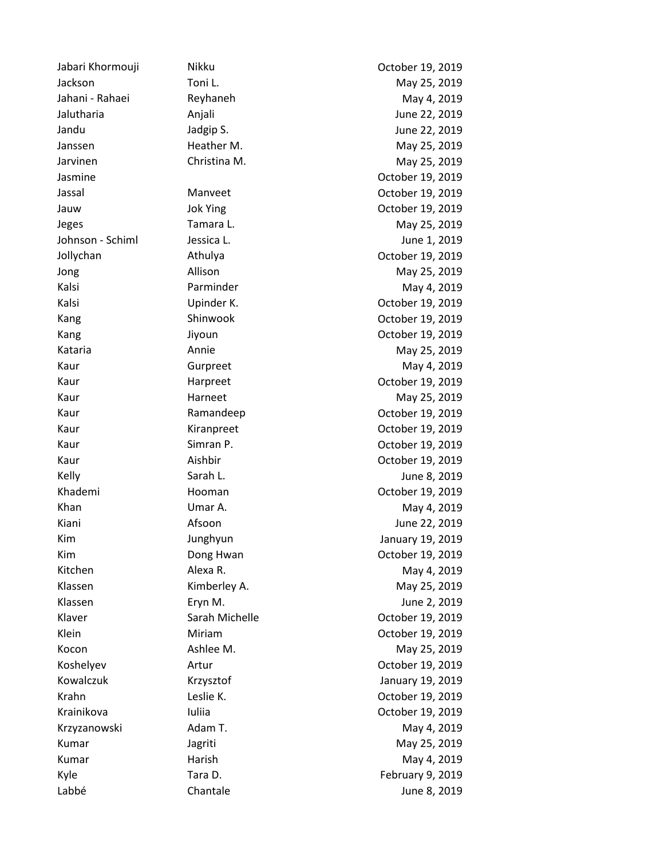Jabari Khormouji Nikku October 19, 2019 Jackson **Toni L.** Toni L. May 25, 2019 Jahani - Rahaei Reyhaneh May 4, 2019 Jalutharia Anjali June 22, 2019 Jandu Jadgip S. June 22, 2019 Janssen Heather M. May 25, 2019 Jarvinen Christina M. May 25, 2019 Jasmine October 19, 2019 Jassal Manveet **Manuel Manuel Manuel Manuel Manuel Manuel Manuel Control Control Control Manuel Manuel Manuel M** Jauw Jok Ying Cotober 19, 2019 Jeges Tamara L. Compared to the May 25, 2019 Johnson - Schiml Jessica L. June 1, 2019 Jollychan Athulya October 19, 2019 Jong May 25, 2019 Kalsi **Parminder** Parminder May 4, 2019 Kalsi **Upinder K.** October 19, 2019 Kang Shinwook Coroler 19, 2019 Kang Jiyoun Jiyoun Cotober 19, 2019 Kataria **Annie** Annie May 25, 2019 Kaur Gurpreet Gurpreet May 4, 2019 Kaur Harpreet Harpreet Coctober 19, 2019 Kaur **Harneet** May 25, 2019 Kaur **Ramandeep** Corober 19, 2019 Kaur Kiranpreet Charles Cotober 19, 2019 Kaur Simran P. October 19, 2019 Kaur Aishbir Aishbir Cotober 19, 2019 Kelly Sarah L. Sarah L. Sarah L. Sarah L. Sarah L. Sarah L. Sarah L. Sarah L. Sarah L. Sarah L. Sarah L. Sarah Khademi **Hooman** Hooman Coctober 19, 2019 Khan Umar A. Communications and the Umar A. Communications of the May 4, 2019 Kiani Afsoon June 22, 2019 Kim Junghyun Junghyun January 19, 2019 Kim Dong Hwan Dong Hwan October 19, 2019 Kitchen May 4, 2019 Alexa R. Klassen May 25, 2019 Kimberley A. May 25, 2019 Klassen Eryn M. Communication Eryn M. Klaver **Sarah Michelle** Communication Corober 19, 2019 Klein Miriam Miriam Cotober 19, 2019 Kocon **Ashlee M.** Ashlee M. May 25, 2019 Koshelyev **Artur** Artur **Communist Communist Communist Communist Communist Communist Communist Communist Communist Communist Communist Communist Communist Communist Communist Communist Communist Communist Communist Communi** Kowalczuk Krzysztof January 19, 2019 Krahn Leslie K. Corollace Communication Corollace Corollace Corollace Corollace Corollace Corollace Corollace Corollace Corollace Corollace Corollace Corollace Corollace Corollace Corollace Corollace Corollace Corollace Co Krainikova Iuliia October 19, 2019 Krzyzanowski Adam T. May 4, 2019 Kumar Jagriti Jagriti May 25, 2019 Kumar May 4, 2019 Kyle Tara D. February 9, 2019 Labbé Chantale Chantale June 8, 2019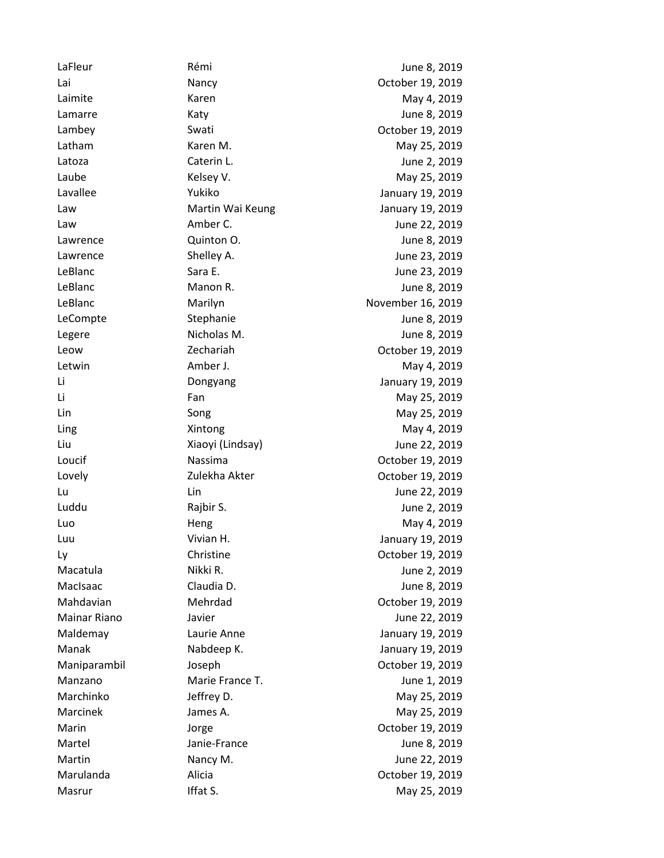LaFleur Rémi June 8, 2019 Lai Nancy October 19, 2019 Laimite Karen Karen May 4, 2019 Lamarre Katy June 8, 2019 Lambey Swati Swati Chambey Swati Chamber 19, 2019 Latham Karen M. May 25, 2019 Latoza Caterin L. Caterin L. San Annual Latoza Caterin L. San Annual Lune 2, 2019 Laube Kelsey V. Nay 25, 2019 Lavallee Yukiko January 19, 2019 Law Martin Wai Keung January 19, 2019 Law **Amber C.** Amber C. Amber C. Amber C. Amber C. And Amber C. And Amber C. And Amber C. And Amber C. And Amber C Lawrence Quinton O. June 8, 2019 Lawrence Shelley A. Shelley A. Shelley A. Shelley A. Shelley A. Shelley A. Shelley A. Shelley A. Shelley A. Shelley A. Shelley A. Shelley A. Shelley A. Shelley A. Shelley A. Shelley A. Shelley A. Shelley A. Shelley A. Shel LeBlanc Sara E. June 23, 2019 LeBlanc Manon R. June 8, 2019 LeBlanc Marilyn Marilyn November 16, 2019 LeCompte Stephanie June 8, 2019 Legere Nicholas M. Nicholas M. Shanghai March 2019 Leow Zechariah October 19, 2019 Letwin **Amber J.** Amber J. May 4, 2019 Li Dongyang January 19, 2019 Li Fan Fan May 25, 2019 Lin Song Song May 25, 2019 Ling May 4, 2019 Liu Xiaoyi (Lindsay) June 22, 2019 Loucif Nassima October 19, 2019 Lovely **Zulekha Akter** October 19, 2019 Lu Lin June 22, 2019 Luddu Rajbir S. June 2, 2019 Luo Heng Heng May 4, 2019 Luu Vivian H. January 19, 2019 Ly Christine Christine Christian Christian Christian Corollary Detober 19, 2019 Macatula **Nikki R.** Nikki R. June 2, 2019 MacIsaac Claudia D. June 8, 2019 Mahdavian Mehrdad October 19, 2019 Mainar Riano Javier June 22, 2019 Maldemay **Laurie Anne Laurie Anne** January 19, 2019 Manak Nabdeep K. January 19, 2019 Maniparambil Joseph October 19, 2019 Manzano **Marie France T.** Marie France T. Marchinko Jeffrey D. May 25, 2019 Marcinek James A. May 25, 2019 Marin Jorge Jorge Detober 19, 2019 Martel Janie-France June 8, 2019 Martin **Martin** Nancy M. **Martin** June 22, 2019 Marulanda Alicia October 19, 2019 Masrur **Iffat S.** May 25, 2019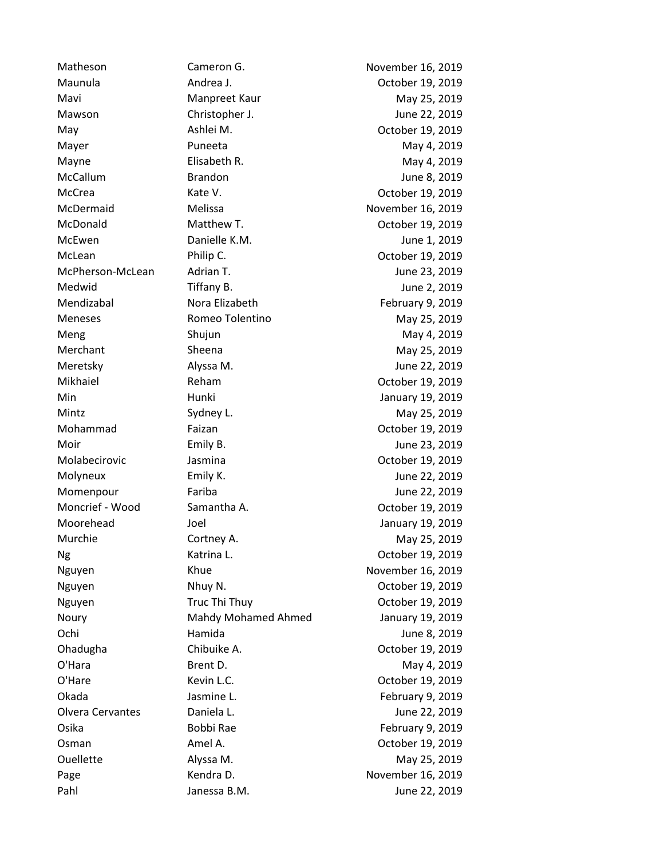Matheson Cameron G. November 16, 2019 Maunula **Andrea J.** Andrea J. Colober 19, 2019 Mavi Manpreet Kaur May 25, 2019 Mawson Christopher J. June 22, 2019 May **Ashlei M. Communist Communist May Communist Communist Communist Communist Communist Communist Communist Communist Communist Communist Communist Communist Communist Communist Communist Communist Communist Communist** Mayer **Puneeta** Puneeta May 4, 2019 Mayne Elisabeth R. May 4, 2019 McCallum Brandon June 8, 2019 McCrea **Kate V. Kate V. Communist Constructs** Corresponding McCrea McDermaid Melissa November 16, 2019 McDonald Matthew T. Coronald Matthew T. Coronal McDonald Device Matthew T. McEwen Danielle K.M. June 1, 2019 McLean Philip C. Contract Philip C. McPherson-McLean Adrian T. Adrian T. Adrian Media 23, 2019 Medwid Tiffany B. Triffany B. The 2, 2019 Mendizabal **Nora Elizabeth Nora Elizabeth** February 9, 2019 Meneses Romeo Tolentino May 25, 2019 Meng Shujun Shujun Meng May 4, 2019 Merchant Sheena Sheena May 25, 2019 Meretsky **Alyssa M.** Alyssa M. Alyssa M. Alyssa M. Alyssa M. Alyssa M. Alyssa M. Alyssa M. Alyssa M. Alyssa M. Alyssa M. Alyssa M. Alyssa M. Alyssa M. Alyssa M. Alyssa M. Alyssa M. Alyssa M. Alyssa M. Alyssa M. Alyssa M. A Mikhaiel Reham Reham October 19, 2019 Min Hunki Hunki January 19, 2019 Mintz Sydney L. Sydney L. May 25, 2019 Mohammad Faizan Faizan Cotober 19, 2019 Moir Emily B. June 23, 2019 Molabecirovic Jasmina October 19, 2019 Molyneux Emily K. Communication Control and Molyneux June 22, 2019 Momenpour Fariba June 22, 2019 Moncrief - Wood Samantha A. Correspondent Correspondent Correspondent Correspondent Correspondent Corresponden Moorehead Joel Joel January 19, 2019 Murchie Cortney A. May 25, 2019 Ng Katrina L. October 19, 2019 Nguyen Khue Khue November 16, 2019 Nguyen **Nhuy N.** Nhuy N. **Canada Communist Communist Communist Communist Communist Communist Communist Communist Communist Communist Communist Communist Communist Communist Communist Communist Communist Communist Communist** Nguyen Truc Thi Thuy Cotober 19, 2019 Noury Mahdy Mohamed Ahmed January 19, 2019 Ochi Hamida June 8, 2019 Ohadugha Chibuike A. October 19, 2019 O'Hara Brent D. Brent D. May 4, 2019 O'Hare Kevin L.C. Communication Corober 19, 2019 Okada Jasmine L. February 9, 2019 Olvera Cervantes Daniela L. June 22, 2019 Osika Bobbi Rae February 9, 2019 Osman **Amel A.** Amel A. Corober 19, 2019 Ouellette Alyssa M. May 25, 2019 Page Kendra D. Kendra D. November 16, 2019 Pahl Janessa B.M. Janessa B.M. June 22, 2019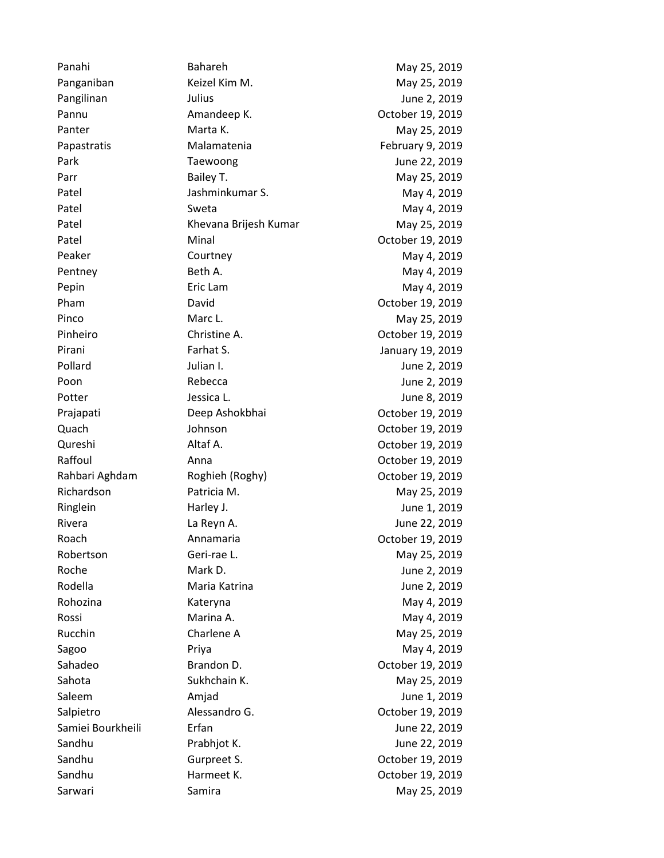| Panahi            | Bahareh               | May 25, 2019     |
|-------------------|-----------------------|------------------|
| Panganiban        | Keizel Kim M.         | May 25, 2019     |
| Pangilinan        | Julius                | June 2, 2019     |
| Pannu             | Amandeep K.           | October 19, 2019 |
| Panter            | Marta K.              | May 25, 2019     |
| Papastratis       | Malamatenia           | February 9, 2019 |
| Park              | Taewoong              | June 22, 2019    |
| Parr              | Bailey T.             | May 25, 2019     |
| Patel             | Jashminkumar S.       | May 4, 2019      |
| Patel             | Sweta                 | May 4, 2019      |
| Patel             | Khevana Brijesh Kumar | May 25, 2019     |
| Patel             | Minal                 | October 19, 2019 |
| Peaker            | Courtney              | May 4, 2019      |
| Pentney           | Beth A.               | May 4, 2019      |
| Pepin             | Eric Lam              | May 4, 2019      |
| Pham              | David                 | October 19, 2019 |
| Pinco             | Marc L.               | May 25, 2019     |
| Pinheiro          | Christine A.          | October 19, 2019 |
| Pirani            | Farhat S.             | January 19, 2019 |
| Pollard           | Julian I.             | June 2, 2019     |
| Poon              | Rebecca               | June 2, 2019     |
| Potter            | Jessica L.            | June 8, 2019     |
| Prajapati         | Deep Ashokbhai        | October 19, 2019 |
| Quach             | Johnson               | October 19, 2019 |
| Qureshi           | Altaf A.              | October 19, 2019 |
| Raffoul           | Anna                  | October 19, 2019 |
| Rahbari Aghdam    | Roghieh (Roghy)       | October 19, 2019 |
| Richardson        | Patricia M.           | May 25, 2019     |
| Ringlein          | Harley J.             | June 1, 2019     |
| Rivera            | La Reyn A.            | June 22, 2019    |
| Roach             | Annamaria             | October 19, 2019 |
| Robertson         | Geri-rae L.           | May 25, 2019     |
| Roche             | Mark D.               | June 2, 2019     |
| Rodella           | Maria Katrina         | June 2, 2019     |
| Rohozina          | Kateryna              | May 4, 2019      |
| Rossi             | Marina A.             | May 4, 2019      |
| Rucchin           | Charlene A            | May 25, 2019     |
| Sagoo             | Priya                 | May 4, 2019      |
| Sahadeo           | Brandon D.            | October 19, 2019 |
| Sahota            | Sukhchain K.          | May 25, 2019     |
| Saleem            | Amjad                 | June 1, 2019     |
| Salpietro         | Alessandro G.         | October 19, 2019 |
| Samiei Bourkheili | Erfan                 | June 22, 2019    |
| Sandhu            | Prabhjot K.           | June 22, 2019    |
| Sandhu            | Gurpreet S.           | October 19, 2019 |
| Sandhu            | Harmeet K.            | October 19, 2019 |
| Sarwari           | Samira                | May 25, 2019     |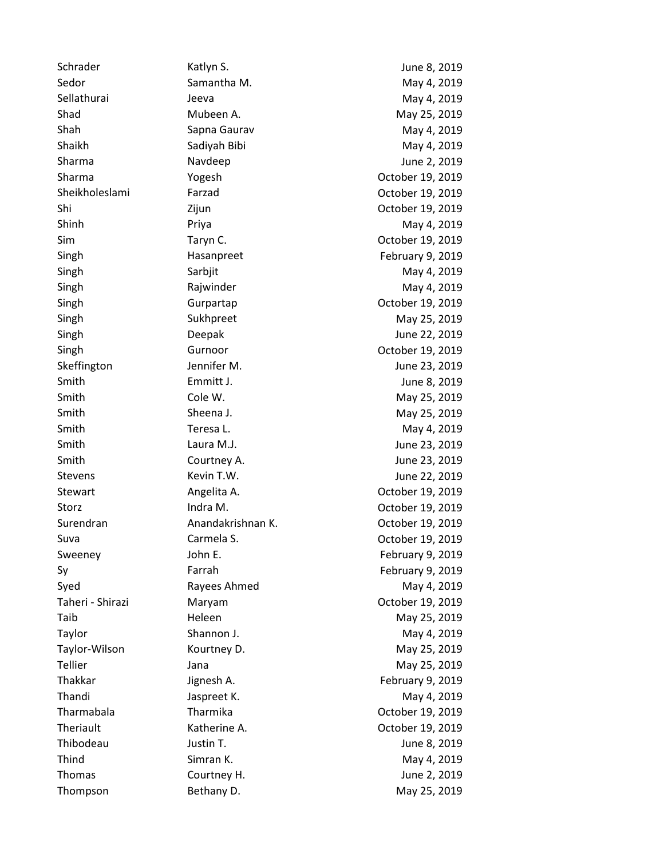Schrader **Katlyn S.** Christian Matter Control of the Matter State State State State State State State State State State State State State State State State State State State State State State State State State State State Sedor **Samantha M.** Samantha M. May 4, 2019 Sellathurai Jeeva May 4, 2019 Shad Mubeen A. Mubeen A. May 25, 2019 Shah Sapna Gaurav May 4, 2019 Shaikh Sadiyah Bibi May 4, 2019 Sharma **Navdeep** Navdeep June 2, 2019 Sharma **The Yogesh Communist Communist Communist Communist Communist Communist Communist Communist Communist Communist Communist Communist Communist Communist Communist Communist Communist Communist Communist Communist Com** Sheikholeslami Farzad Cotober 19, 2019 Shi Zijun Zijun October 19, 2019 Shinh Priya Priya May 4, 2019 Sim **Taryn C.** Carryn C. **Carryn C.** Carryn C. **Carryn C.** Carryn C. **Carryn C.** Carryn C. Carryn C. Carryn C. Carryn C. Carryn C. Carryn C. Carryn C. Carryn C. Carryn C. Carryn C. Carryn C. Carryn C. Carryn C. Carryn C. C Singh Hasanpreet February 9, 2019 Singh Sarbjit Sarbjit May 4, 2019 Singh Rajwinder Rajwinder May 4, 2019 Singh Gurpartap Gurpartap Cotober 19, 2019 Singh Sukhpreet Sukhpreet May 25, 2019 Singh Deepak Deepak June 22, 2019 Singh Gurnoor Gurnoor Controller 19, 2019 Skeffington Jennifer M. Skeffington June 23, 2019 Smith Emmitt J. Smith Smith Bank Control and The B. 2019 Smith Cole W. Cole W. May 25, 2019 Smith Sheena J. Sheena J. May 25, 2019 Smith Teresa L. Teresa L. May 4, 2019 Smith Laura M.J. June 23, 2019 Smith Courtney A. Courtney A. Smith Courtney A. Courtney A. Courtney A. Court A. Court A. Court A. Court A. Court A. Court A. Court A. Court A. Court A. Court A. Court A. Court A. Court A. Court A. Court A. Court A. Court Stevens Kevin T.W. June 22, 2019 Stewart **Angelita A. Communist A. Communist A. Communist A. Communist A. Communist A. Communist A. Communist A. Communist A. Communist A. Communist A. Communist A. Communist A. Communist A. Comm** Storz **Indra M. Indra M. October 19, 2019** Surendran Anandakrishnan K. October 19, 2019 Suva Carmela S. Carmela S. Carmela S. Controller 19, 2019 Sweeney **John E.** John E. Sweeney **February 9, 2019** Sy Farrah February 9, 2019 Syed **Rayees Ahmed** May 4, 2019 Taheri - Shirazi Maryam October 19, 2019 Taib **Heleen** Heleen May 25, 2019 Taylor Shannon J. Shannon J. May 4, 2019 Taylor-Wilson Kourtney D. May 25, 2019 Tellier Jana Jana May 25, 2019 Thakkar Jignesh A. Shankar Hakkar Jignesh A. Thakkar February 9, 2019 Thandi Jaspreet K. May 4, 2019 Tharmabala Tharmika October 19, 2019 Theriault **Katherine A.** Corober 19, 2019 Thibodeau Justin T. Justin T. June 8, 2019 Thind Simran K. Simran K. May 4, 2019 Thomas Courtney H. Courtney H. Share 2, 2019 Thompson Bethany D. May 25, 2019